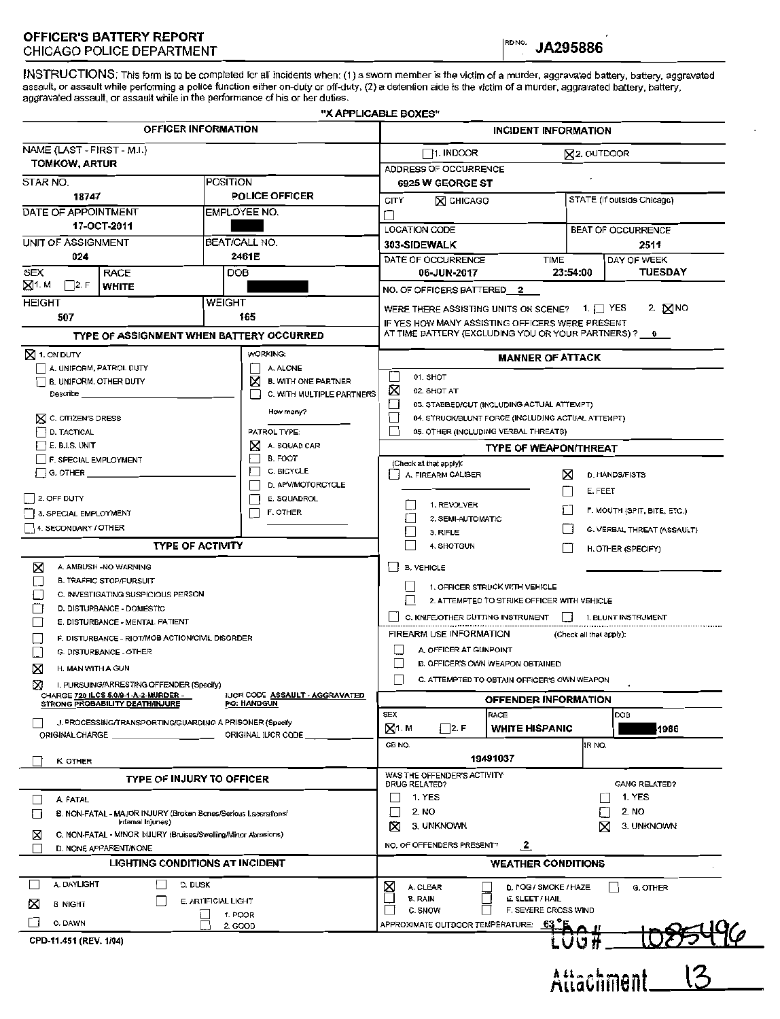## **OFFICER'S BATTERY REPORT**  CHICAGO POLICE DEPARTMENT<br>CHICAGO POLICE DEPARTMENT

INSTRUCTIONS: This form is to be completed for all incidents when: (1) a sworn member is the victim of a murder, aggravated battery, battery, aggravated assault, or assault while performing a police function either on-duty or off-duty, (2) a detention aide is the victim of a murder, aggravated battery, battery, aggravated assault, or assault while in the performance of his or her duties.

|                                                                                                                                                                                                                                    |                                                       | "X APPLICABLE BOXES"                                                                                          |                              |  |
|------------------------------------------------------------------------------------------------------------------------------------------------------------------------------------------------------------------------------------|-------------------------------------------------------|---------------------------------------------------------------------------------------------------------------|------------------------------|--|
| OFFICER INFORMATION                                                                                                                                                                                                                |                                                       | INCIDENT INFORMATION                                                                                          |                              |  |
| NAME (LAST - FIRST - M.I.)                                                                                                                                                                                                         |                                                       | $\Box$ 1. INDOOR<br><b>X2. OUTDOOR</b>                                                                        |                              |  |
| <b>TOMKOW, ARTUR</b>                                                                                                                                                                                                               |                                                       | ADDRESS OF OCCURRENCE                                                                                         |                              |  |
| STAR NO.<br>POSITION                                                                                                                                                                                                               |                                                       | 6925 W GEORGE ST                                                                                              |                              |  |
| 18747                                                                                                                                                                                                                              | <b>POLICE OFFICER</b>                                 | CITY<br><b>X CHICAGO</b>                                                                                      | STATE (If outside Chicago)   |  |
| DATE OF APPOINTMENT                                                                                                                                                                                                                | EMPLOYEE NO.                                          |                                                                                                               |                              |  |
|                                                                                                                                                                                                                                    | 17-OCT-2011                                           |                                                                                                               | BEAT OF OCCURRENCE           |  |
|                                                                                                                                                                                                                                    | UNIT OF ASSIGNMENT<br>BEAT/CALL NO.                   |                                                                                                               | 2511                         |  |
| 024                                                                                                                                                                                                                                | 2461E                                                 | DATE OF OCCURRENCE<br><b>TIME</b>                                                                             | DAY OF WEEK                  |  |
| SEX<br><b>RACE</b><br>$\boxtimes$ 1. M<br>$\Box$ 2. F<br><b>WHITE</b>                                                                                                                                                              | DOB                                                   | 06-JUN-2017<br>23:54:00                                                                                       | <b>TUESDAY</b>               |  |
| <b>HEIGHT</b>                                                                                                                                                                                                                      | WEIGHT                                                | NO. OF OFFICERS BATTERED 2                                                                                    |                              |  |
| 507                                                                                                                                                                                                                                | 165                                                   | 2. $MNO$<br>WERE THERE ASSISTING UNITS ON SCENE? 1.   YES                                                     |                              |  |
| TYPE OF ASSIGNMENT WHEN BATTERY OCCURRED                                                                                                                                                                                           |                                                       | IF YES HOW MANY ASSISTING OFFICERS WERE PRESENT<br>AT TIME BATTERY (EXCLUDING YOU OR YOUR PARTNERS) ? __ 0 __ |                              |  |
| $\boxtimes$ 1. ON DUTY                                                                                                                                                                                                             | WORKING:                                              |                                                                                                               |                              |  |
| A. UNIFORM, PATROL DUTY                                                                                                                                                                                                            | A. ALONE                                              | <b>MANNER OF ATTACK</b>                                                                                       |                              |  |
| B. UNIFORM, OTHER DUTY                                                                                                                                                                                                             | Ø<br><b>B. WITH ONE PARTNER</b>                       | 01. SHOT                                                                                                      |                              |  |
| <b>Describe contract to the contract of the contract of the contract of the contract of the contract of the contract of the contract of the contract of the contract of the contract of the contract of the contract of the co</b> | C. WITH MULTIPLE PARTNERS<br>$\Box$                   | ⊠<br>02. SHOT AT                                                                                              |                              |  |
|                                                                                                                                                                                                                                    | How many?                                             | ∐<br>03. STABBED/CUT (INCLUDING ACTUAL ATTEMPT)                                                               |                              |  |
| <b>X</b> C. CITIZEN'S DRESS<br>D. TACTICAL                                                                                                                                                                                         | PATROL TYPE:                                          | 04. STRUCK/BLUNT FORCE (INCLUDING ACTUAL ATTEMPT)<br>05. OTHER (INCLUDING VERBAL THREATS)                     |                              |  |
| $\left  \rule{0pt}{10pt} \right $ E. B.I.S. UNIT                                                                                                                                                                                   | ⋈<br>A. SQUAD CAR                                     |                                                                                                               | <b>TYPE OF WEAPON/THREAT</b> |  |
| F. SPECIAL EMPLOYMENT                                                                                                                                                                                                              | B. FOOT                                               | (Check all that apply):                                                                                       |                              |  |
| $\vert$ G. OTHER $\vert$                                                                                                                                                                                                           | C. BICYCLE                                            | A. FIREARM CALIBER<br>⋈                                                                                       | D. HANDS/FISTS               |  |
|                                                                                                                                                                                                                                    | D. APV/MOTORCYCLE                                     |                                                                                                               | E. FEET                      |  |
| $\vert$ 2. OFF DUTY                                                                                                                                                                                                                | E. SQUADROL<br>Π                                      | 1. REVOLVER                                                                                                   |                              |  |
| 3. SPECIAL EMPLOYMENT                                                                                                                                                                                                              | F. OTHER                                              | 2. SEMI-AUTOMATIC                                                                                             | F. MOUTH (SPIT, BITE, ETC.)  |  |
| 4. SECONDARY / OTHER                                                                                                                                                                                                               |                                                       | L<br>3. RIFLE                                                                                                 | G. VERBAL THREAT (ASSAULT)   |  |
| <b>TYPE OF ACTIVITY</b>                                                                                                                                                                                                            |                                                       | L<br>4. SHOTGUN                                                                                               | H. OTHER (SPECIFY)           |  |
| ×<br>A. AMBUSH - NO WARNING                                                                                                                                                                                                        |                                                       | $\Box$ B. VEHICLE                                                                                             |                              |  |
| <b>B. TRAFFIC STOP/PURSUIT</b>                                                                                                                                                                                                     |                                                       |                                                                                                               |                              |  |
| C. INVESTIGATING SUSPICIOUS PERSON                                                                                                                                                                                                 |                                                       | 1. OFFICER STRUCK WITH VEHICLE<br>П<br>2. ATTEMPTED TO STRIKE OFFICER WITH VEHICLE                            |                              |  |
| D. DISTURBANCE - DOMESTIC                                                                                                                                                                                                          |                                                       |                                                                                                               |                              |  |
| E. DISTURBANCE - MENTAL PATIENT                                                                                                                                                                                                    |                                                       | C. KNIFE/OTHER CUTTING INSTRUMENT<br>$\perp$<br>1. BLUNT INSTRUMENT                                           |                              |  |
| F. DISTURBANCE - RIOT/MOB ACTION/CIVIL DISORDER                                                                                                                                                                                    |                                                       | FIREARM USE INFORMATION<br>(Check all that apply):                                                            |                              |  |
| G. DISTURBANCE - OTHER                                                                                                                                                                                                             |                                                       | A. OFFICER AT GUNPOINT                                                                                        |                              |  |
| X<br>H. MAN WITH A GUN                                                                                                                                                                                                             |                                                       | B. OFFICER'S OWN WEAPON OBTAINED                                                                              |                              |  |
| Ñ.<br>I. PURSUING/ARRESTING OFFENDER (Specify)<br>▵                                                                                                                                                                                |                                                       | C. ATTEMPTED TO OBTAIN OFFICER'S OWN WEAPON                                                                   |                              |  |
| CHARGE 720 ILCS 5.0/9-1-A-2-MURDER -<br>STRONG PROBABILITY DEATH/INJURE                                                                                                                                                            | IUCR CODE ASSAULT - AGGRAVATED<br>PO: HANDGUN         | <b>OFFENDER INFORMATION</b>                                                                                   |                              |  |
| J. PROCESSING/TRANSPORTING/GUARDING A PRISONER (Specify                                                                                                                                                                            |                                                       | <b>SEX</b><br>RACE                                                                                            | DOB                          |  |
| ORIGINAL CHARGE                                                                                                                                                                                                                    | ORIGINAL IUCR CODE                                    | $\boxtimes$ 1. M<br><b>WHITE HISPANIC</b><br>$\vert$ 2. F                                                     | 1986                         |  |
|                                                                                                                                                                                                                                    |                                                       | CB NO.<br>19491037                                                                                            | IR NO.                       |  |
| K. OTHER                                                                                                                                                                                                                           |                                                       | WAS THE OFFENDER'S ACTIVITY.                                                                                  |                              |  |
| TYPE OF INJURY TO OFFICER                                                                                                                                                                                                          |                                                       | <b>DRUG RELATED?</b>                                                                                          | <b>GANG RELATED?</b>         |  |
| A. FATAL                                                                                                                                                                                                                           |                                                       | 1. YES                                                                                                        | 1. YES                       |  |
| B. NON-FATAL - MAJOR INJURY (Broken Bones/Serious Lacerations/<br>Internal Injunes)                                                                                                                                                |                                                       | 2. NO                                                                                                         | 2. NO                        |  |
| ⊠<br>C. NON-FATAL - MINOR INJURY (Bruises/Swelling/Minor Abrasions)                                                                                                                                                                |                                                       | ⊠<br>3. UNKNOWN                                                                                               | 3. UNKNOWN<br>⋈              |  |
| D. NONE APPARENT/NONE                                                                                                                                                                                                              |                                                       | NO. OF OFFENDERS PRESENT?<br>$\mathbf{2}$                                                                     |                              |  |
| <b>LIGHTING CONDITIONS AT INCIDENT</b>                                                                                                                                                                                             |                                                       |                                                                                                               | <b>WEATHER CONDITIONS</b>    |  |
| A. DAYLIGHT<br>D. DUSK                                                                                                                                                                                                             |                                                       | ×<br>A. CLEAR<br>D. FOG / SMOKE / HAZE                                                                        | G. OTHER                     |  |
| E. ARTIFICIAL LIGHT<br>×<br><b>B NIGHT</b>                                                                                                                                                                                         |                                                       | <b>B. RAIN</b><br>E. SLEET / HAIL                                                                             |                              |  |
|                                                                                                                                                                                                                                    | C. SNOW<br>F. SEVERE CROSS WIND<br>1. POOR<br>C. DAWN |                                                                                                               |                              |  |
|                                                                                                                                                                                                                                    | 2. GOOD                                               | APPROXIMATE OUTDOOR TEMPERATURE: 63                                                                           |                              |  |
| CPD-11.451 (REV. 1/04)                                                                                                                                                                                                             |                                                       |                                                                                                               | LUU #                        |  |
|                                                                                                                                                                                                                                    |                                                       |                                                                                                               |                              |  |
|                                                                                                                                                                                                                                    |                                                       |                                                                                                               | Attachment                   |  |
|                                                                                                                                                                                                                                    |                                                       |                                                                                                               |                              |  |